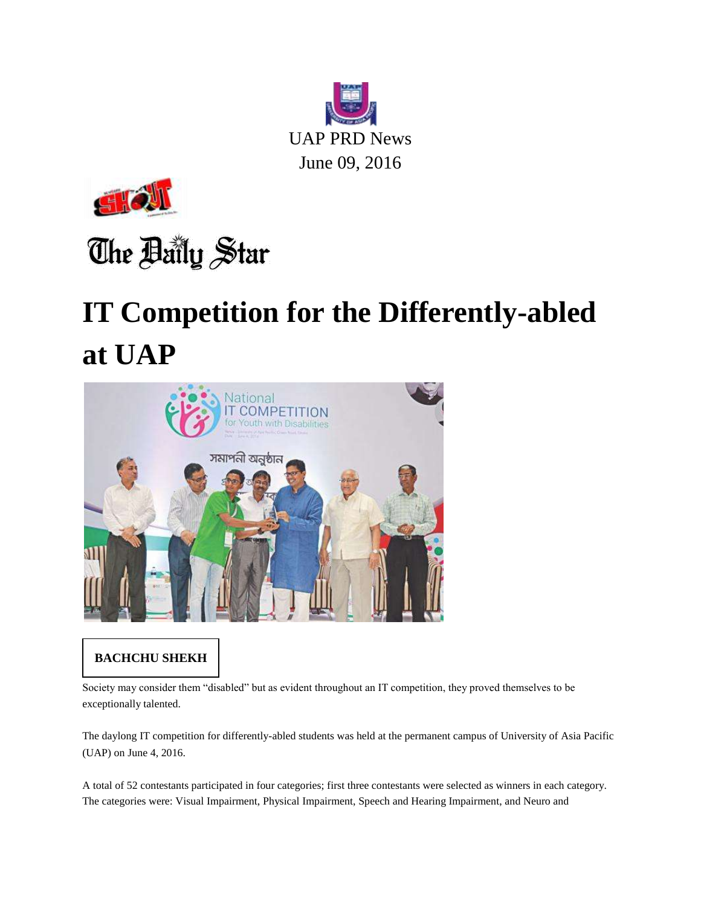



## The Baily Star

## **IT Competition for the Differently-abled at UAP**



## **BACHCHU SHEKH**

Society may consider them "disabled" but as evident throughout an IT competition, they proved themselves to be exceptionally talented.

The daylong IT competition for differently-abled students was held at the permanent campus of University of Asia Pacific (UAP) on June 4, 2016.

A total of 52 contestants participated in four categories; first three contestants were selected as winners in each category. The categories were: Visual Impairment, Physical Impairment, Speech and Hearing Impairment, and Neuro and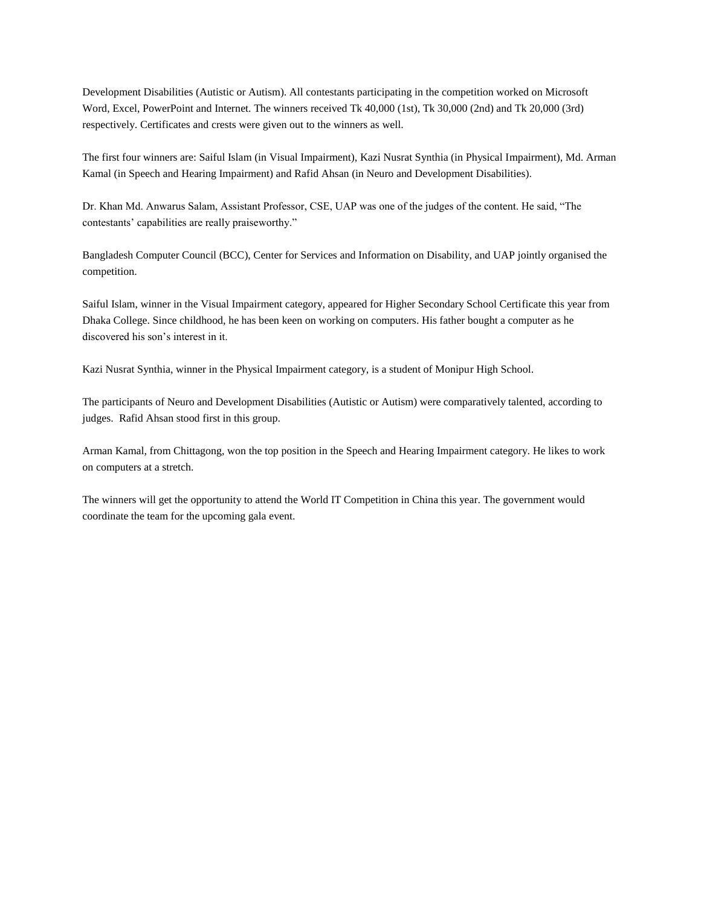Development Disabilities (Autistic or Autism). All contestants participating in the competition worked on Microsoft Word, Excel, PowerPoint and Internet. The winners received Tk 40,000 (1st), Tk 30,000 (2nd) and Tk 20,000 (3rd) respectively. Certificates and crests were given out to the winners as well.

The first four winners are: Saiful Islam (in Visual Impairment), Kazi Nusrat Synthia (in Physical Impairment), Md. Arman Kamal (in Speech and Hearing Impairment) and Rafid Ahsan (in Neuro and Development Disabilities).

Dr. Khan Md. Anwarus Salam, Assistant Professor, CSE, UAP was one of the judges of the content. He said, "The contestants' capabilities are really praiseworthy."

Bangladesh Computer Council (BCC), Center for Services and Information on Disability, and UAP jointly organised the competition.

Saiful Islam, winner in the Visual Impairment category, appeared for Higher Secondary School Certificate this year from Dhaka College. Since childhood, he has been keen on working on computers. His father bought a computer as he discovered his son's interest in it.

Kazi Nusrat Synthia, winner in the Physical Impairment category, is a student of Monipur High School.

The participants of Neuro and Development Disabilities (Autistic or Autism) were comparatively talented, according to judges. Rafid Ahsan stood first in this group.

Arman Kamal, from Chittagong, won the top position in the Speech and Hearing Impairment category. He likes to work on computers at a stretch.

The winners will get the opportunity to attend the World IT Competition in China this year. The government would coordinate the team for the upcoming gala event.